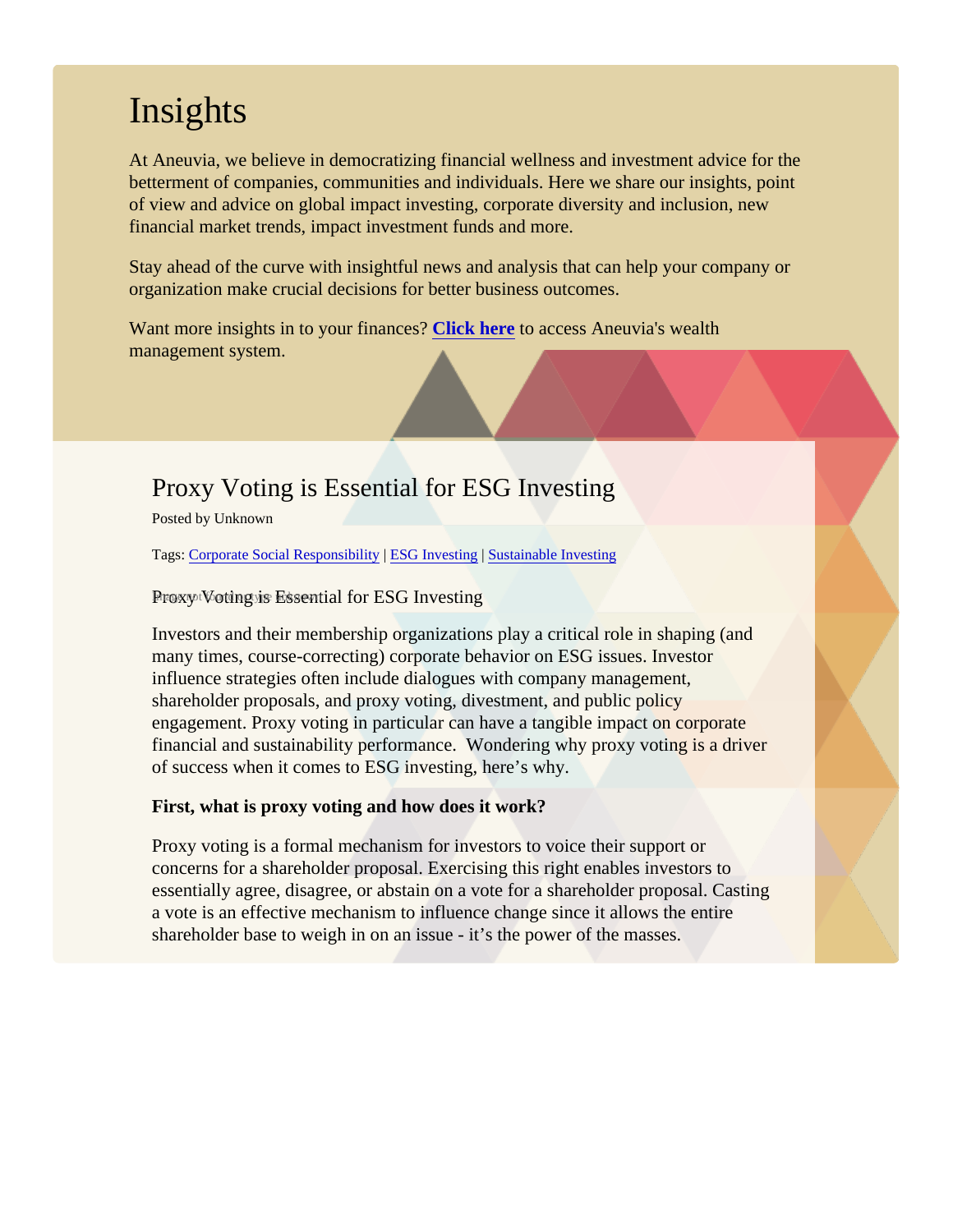## **Insights**

At Aneuvia, we believe in democratizing financial wellness and investment advice for the betterment of companies, communities and individuals. Here we share our insights, point of view and advice on global impact investing, corporate diversity and inclusion, new financial market trends, impact investment funds and more.

Stay ahead of the curve with insightful news and analysis that can help your company or organization make crucial decisions for better business outcomes.

Want more insights in to your finance SPCk here to access Aneuvia's wealth management system.

## Proxy Voting is Essential for ESG Investing

Posted by Unknown

Tags[: Corporate Social Responsibil](/Blog/uhrc&CategoryId=ukv8)it[y](/Blog/uhrc&CategoryId=ukv2) [ESG Investing](/Blog/uhrc&CategoryId=ukv2) [Sustainable Investin](/Blog/uhrc&CategoryId=ukv5)g

Proxy Voting is Essential for ESG Investing

Investors and their membership organizations play a critical role in shaping (and many times, course-correcting) corporate behavior on ESG issues. Investor influence strategies often include dialogues with company management, shareholder proposals, and proxy voting, divestment, and public policy engagement. Proxy voting in particular can have a tangible impact on corporate financial and sustainability performance. Wondering why proxy voting is a driver of success when it comes to ESG investing, here's why.

First, what is proxy voting and how does it work?

Proxy voting is a formal mechanism for investors to voice their support or concerns for a shareholder proposal. Exercising this right enables investors to essentially agree, disagree, or abstain on a vote for a shareholder proposal. Cas a vote is an effective mechanism to influence change since it allows the entire shareholder base to weigh in on an issue - it's the power of the masses.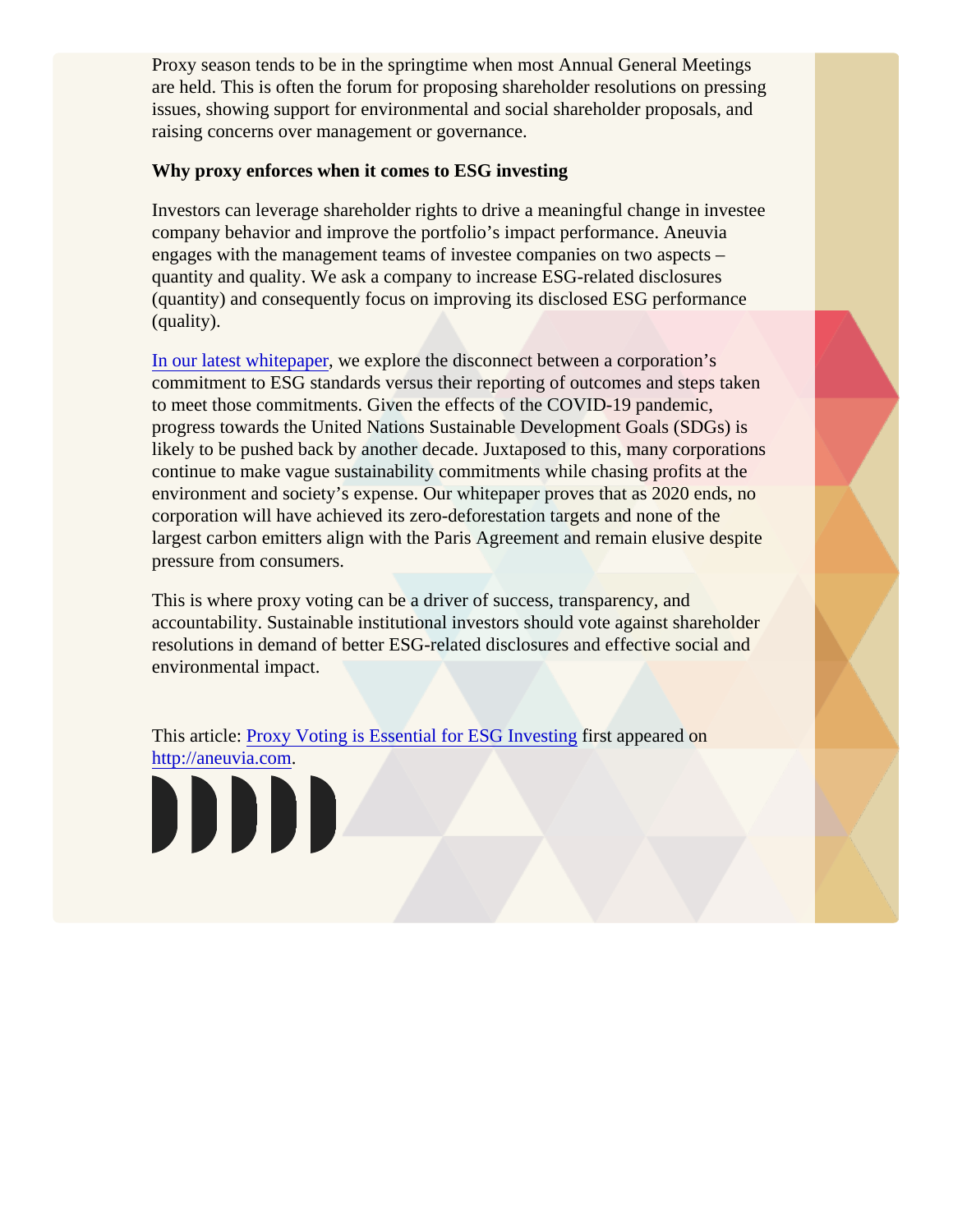Proxy season tends to be in the springtime when most Annual General Meetings are held. This is often the forum for proposing shareholder resolutions on pressir issues, showing support for environmental and social shareholder proposals, and raising concerns over management or governance.

Why proxy enforces when it comes to ESG investing

Investors can leverage shareholder rights to drive a meaningful change in investe company behavior and improve the portfolio's impact performance. Aneuvia engages with the management teams of investee companies on two aspects – quantity and quality. We ask a company to increase ESG-related disclosures (quantity) and consequently focus on improving its disclosed ESG performance (quality).

[In our latest whitepap](https://share.hsforms.com/1QUeSUWWWQUa3rSbtsJHw9Q3zjaq)ewe explore the disconnect between a corporation's commitment to ESG standards versus their reporting of outcomes and steps take to meet those commitments. Given the effects of the COVID-19 pandemic, progress towards the United Nations Sustainable Development Goals (SDGs) is likely to be pushed back by another decade. Juxtaposed to this, many corporation continue to make vague sustainability commitments while chasing profits at the environment and society's expense. Our whitepaper proves that as 2020 ends, n corporation will have achieved its zero-deforestation targets and none of the largest carbon emitters align with the Paris Agreement and remain elusive despit pressure from consumers.

This is where proxy voting can be a driver of success, transparency, and accountability. Sustainable institutional investors should vote against shareholde resolutions in demand of better ESG-related disclosures and effective social and environmental impact.

This article[: Proxy Voting is Essential for ESG Invest](/Blogpost/ukvp/Proxy-Voting-is-Essential-for-ESG-Investing)ificstappeared on <http://aneuvia.com>.

DDDD.